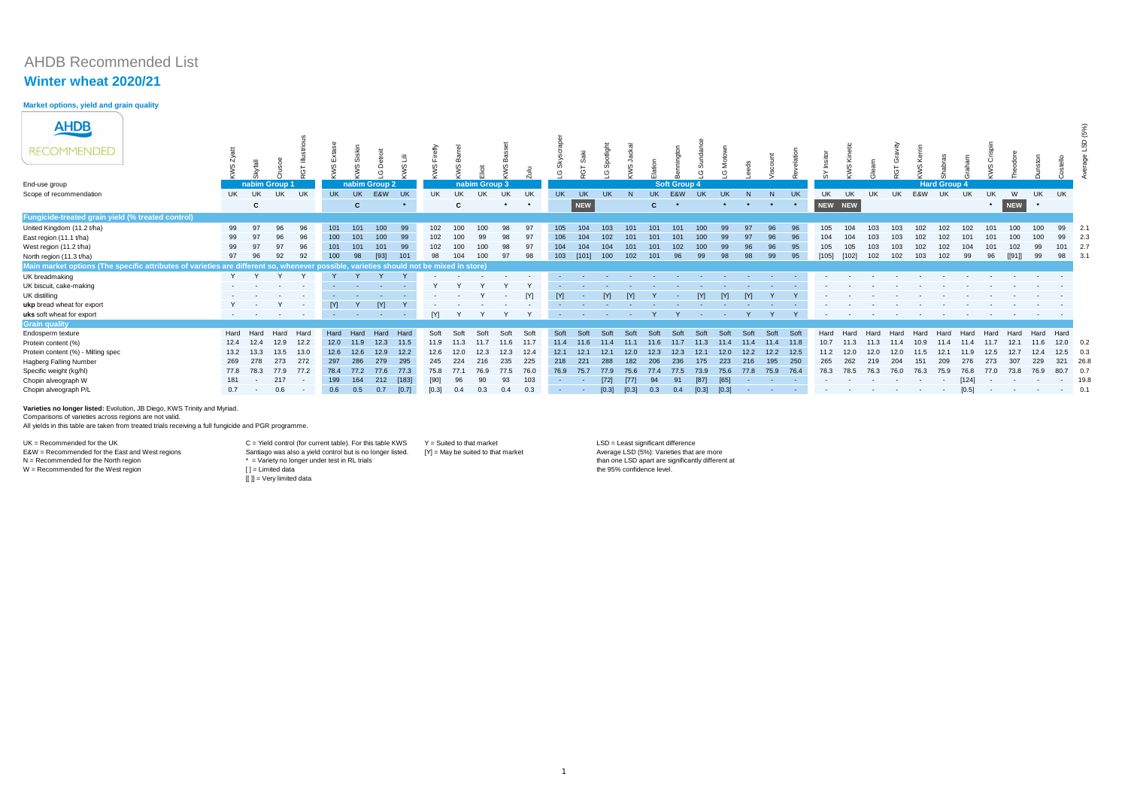# AHDB Recommended List

# **Winter wheat 2020/21**

### **Market options, yield and grain quality**

| <b>AHDB</b>                                                                                                                            |           |                                   |      |                    |                  |                                        |               |                |           |      |               |            |         |              |            |                                        |                    |              |                     |           |                |         |         |           |            |                   |                          |                                      |      |                     |            |         |            |                                                                                           |                  |      |
|----------------------------------------------------------------------------------------------------------------------------------------|-----------|-----------------------------------|------|--------------------|------------------|----------------------------------------|---------------|----------------|-----------|------|---------------|------------|---------|--------------|------------|----------------------------------------|--------------------|--------------|---------------------|-----------|----------------|---------|---------|-----------|------------|-------------------|--------------------------|--------------------------------------|------|---------------------|------------|---------|------------|-------------------------------------------------------------------------------------------|------------------|------|
| <b>RECOMMENDED</b>                                                                                                                     |           |                                   |      |                    |                  |                                        |               | $\omega$       |           |      |               |            |         |              |            | $\omega$                               | $\omega$           |              |                     |           |                |         |         |           |            |                   |                          |                                      |      |                     |            |         |            |                                                                                           |                  |      |
|                                                                                                                                        |           |                                   |      |                    |                  |                                        | $\circ$       |                |           |      |               |            |         |              |            | (5)                                    |                    |              |                     |           |                |         |         |           |            |                   |                          |                                      |      |                     |            |         |            |                                                                                           |                  |      |
| End-use group                                                                                                                          |           | nabim Group 1                     |      |                    |                  |                                        | nabim Group 2 |                |           |      | nabim Group 3 |            |         |              |            |                                        |                    |              | <b>Soft Group 4</b> |           |                |         |         |           |            |                   |                          |                                      |      | <b>Hard Group 4</b> |            |         |            |                                                                                           |                  |      |
| Scope of recommendation                                                                                                                | <b>UK</b> | UK                                | UK   | UK                 | <b>UK</b>        | <b>UK</b>                              | E&W           | UK             | <b>UK</b> | UK   | <b>UK</b>     | UK         | UK      | <b>UK</b>    | <b>UK</b>  | <b>UK</b>                              |                    | <b>UK</b>    | E&W                 | <b>UK</b> | <b>UK</b>      |         | N       | <b>UK</b> | UK         | UK                |                          | <b>UK</b>                            | E&W  | UK                  | UK         | UK.     | W          | UK.                                                                                       | <b>UK</b>        |      |
|                                                                                                                                        |           | $\mathbf{c}$                      |      |                    |                  | $\mathbf{C}$                           |               | $\star$        |           | C    |               | $\star$    | $\star$ |              | NEW        |                                        |                    | $\mathbf{C}$ |                     |           | $\star$        | $\star$ | $\star$ |           | NEW NEW    |                   |                          |                                      |      |                     |            | $\star$ | NEW        | $\star$                                                                                   |                  |      |
| Fungicide-treated grain yield (% treated control)                                                                                      |           |                                   |      |                    |                  |                                        |               |                |           |      |               |            |         |              |            |                                        |                    |              |                     |           |                |         |         |           |            |                   |                          |                                      |      |                     |            |         |            |                                                                                           |                  |      |
| United Kingdom (11.2 t/ha)                                                                                                             | 99        | 97                                |      |                    | 101              | 101                                    | 100           | 99             | 102       | 100  |               | 98         | 97      | 105          | 104        | 103                                    |                    | 101          | 101                 | 100       | -99            |         | 96      | 96        | 105        |                   |                          |                                      |      | 102                 |            |         | 100        |                                                                                           | 99               | 2.1  |
| East region (11.1 t/ha)                                                                                                                | 99        |                                   | 96   |                    | 100 <sub>1</sub> | 101                                    | 100           | 99             | 102       | 100  |               | 98         | 97      | 106          | 104        | 102                                    | 101                | 101          | 101                 | 100       |                |         | 96      | 96        | 104        | 104               | 103                      |                                      |      |                     |            |         | 100        |                                                                                           |                  | 2.3  |
| West region (11.2 t/ha)                                                                                                                | 99        |                                   |      |                    |                  | 101                                    | 101           | -99            | 102       | 100  | 100           | 98         | 97      | 104          | 104        | 104                                    | 101                | 101          | 102                 | 100       | -99            | 96      | 96      | 95        | 105        | 105               |                          |                                      | 102  | 102                 |            |         |            |                                                                                           |                  | 2.7  |
| North region (11.3 t/ha)                                                                                                               | 97        |                                   | 92   |                    | 100 <sub>1</sub> | 98                                     | $[93]$        | 101            | 98        | 104  | 100           | 97         | 98      | 103          | [101]      | 100                                    | 102                | 101          | 96                  | 99        |                | 98      | 99      | 95        | $[105]$    | $[102]$           | 102                      | 102 <sub>2</sub>                     | 103  | 102                 | 99         |         | [[91]]     | .gc                                                                                       | 98               | 3.   |
| Main market options (The specific attributes of varieties are different so, whenever possible, varieties should not be mixed in store) |           |                                   |      |                    |                  |                                        |               |                |           |      |               |            |         |              |            |                                        |                    |              |                     |           |                |         |         |           |            |                   |                          |                                      |      |                     |            |         |            |                                                                                           |                  |      |
| UK breadmaking                                                                                                                         |           |                                   |      |                    |                  |                                        |               |                |           |      |               |            |         |              |            |                                        |                    |              |                     |           |                |         |         |           |            |                   |                          |                                      |      |                     |            |         |            |                                                                                           |                  |      |
| UK biscuit, cake-making                                                                                                                |           |                                   |      |                    |                  | <b>Contract Contract</b>               |               |                |           |      |               |            |         |              |            |                                        |                    |              |                     |           |                |         |         |           |            |                   |                          |                                      |      |                     |            |         |            |                                                                                           |                  |      |
| UK distilling                                                                                                                          |           | the company of the company        |      | $\sim$ 100 $\pm$   |                  |                                        | $\sim 100$    | <b>Service</b> |           |      |               | $\sim$ $-$ | [Y]     | $\mathsf{M}$ | $\sim 100$ | [N]                                    | <b>IYI</b>         |              | $\sim$ $-$          | [Y]       | $\mathsf{M}$   | [Y]     |         |           |            |                   |                          |                                      |      |                     |            |         |            |                                                                                           |                  |      |
| ukp bread wheat for export                                                                                                             |           | $Y = -$                           |      | $\sim$ $-$         | [M]              | Y                                      | $\Gamma$      |                |           |      |               |            |         |              |            |                                        |                    |              |                     |           |                |         |         |           |            |                   |                          |                                      |      |                     |            |         |            |                                                                                           |                  |      |
| uks soft wheat for export                                                                                                              |           | the control of the control of the |      | <b>State State</b> |                  | the control of the control of the con- |               | <b>Service</b> | [Y]       |      |               |            |         |              |            | the control of the control of the con- | <b>State State</b> |              |                     |           | <b>Section</b> |         |         |           | $\sim$ $-$ | <b>Contractor</b> | <b>Contract Contract</b> | the company's state of the company's |      | $\sim$ 100 $\sim$   | $\sim$ $-$ |         |            | the control of the control of the control of the control of the control of the control of |                  |      |
| <b>Grain quality</b>                                                                                                                   |           |                                   |      |                    |                  |                                        |               |                |           |      |               |            |         |              |            |                                        |                    |              |                     |           |                |         |         |           |            |                   |                          |                                      |      |                     |            |         |            |                                                                                           |                  |      |
| Endosperm texture                                                                                                                      | Hard      | Hard                              | Hard | Hard               | Hard             | Hard                                   | Hard          | Hard           | Soft      | Soft | Soft          | Soft       | Soft    | Soft         | Soft       | Soft                                   | Soft               | Soft         | Soft                | Soft      | Soft           | Soft    | Soft    | Soft      | Hard       | Hard              | Hard                     | Hard                                 | Hard | Hard                | Hard       | Hard    | Hard       | Hard                                                                                      | Hard             |      |
| Protein content (%)                                                                                                                    | 12.4      | 12.4                              | 12.9 | 12.2               | 12.0             | 11.9                                   | 12.3          | 11.5           | 11.9      | 11.3 | 11.7          | 11.6       | 11.7    | 11.4         | 11.6       | 11.4                                   | 11.1               | 11.6         | 11.7                | 11.3      | 11.4           | 11.4    | 11.4    | 11.8      | 10.7       | 11.3              | 11.3                     | 114                                  | 10.9 | 11.4                | 11.4       | 11.7    | 12.1       | 11.6                                                                                      | $12.0\qquad 0.2$ |      |
| Protein content (%) - Milling spec                                                                                                     | 13.2      | 13.3                              | 13.5 | 13.0               | 12.6             | 12.6                                   | 12.9          | 12.2           | 12.6      | 12.0 | 12.3          | 12.3       | 12.4    | 12.1         | 12.1       | 12.1                                   | 12.0               | 12.3         | 12.3                | 12.1      | 12.0           | 12.2    | 12.2    | 12.5      | 11.2       | 12.0              | 12.0                     | 12.0                                 | 11.5 | 12.1                |            | 12.5    | 12.7       | 12.4                                                                                      | $12.5$ 0.3       |      |
| Hagberg Falling Number                                                                                                                 | 269       | 278                               | 273  | 272                | 297              | 286                                    | 279           | 295            | 245       | 224  | 216           | 235        | 225     | 218          | 221        | 288                                    | 182                | 206          | 236                 | 175       | 223            | 216     | 195     | 250       | 265        | 262               | 219                      | 204                                  | 151  | 209                 | 276        | 273     | 307        | 229                                                                                       | 321              | 26.8 |
| Specific weight (kg/hl)                                                                                                                | 77.8      | 78.3                              | 77.9 | 77.2               | 78.4             | 77.2                                   | 77.6          | 77.3           | 75.8      | 77.1 | 76.9          | 77.5       | 76.0    | 76.9         | 75.7       | 77.9                                   | 75.6               | 77.4         | 77.5                | 73.9      | 75.6           | 77.8    | 75.9    | 76.4      | 78.3       | 78.5              | 76.3                     | 76.0                                 | 76.3 | 75.9                | 76.8       | 77.0    | 73.8       | 76.9                                                                                      | 80.7             | 0.7  |
| Chopin alveograph W                                                                                                                    | 181       |                                   | 217  | $\sim$             | 199              | 164                                    | 212           | [183]          | [90]      |      |               | 93         | 103     |              |            | $[72]$                                 | [77]               |              |                     | $[87]$    | [65]           |         |         |           |            |                   |                          |                                      |      |                     | [124]      |         |            |                                                                                           |                  | 19.8 |
| Chopin alveograph P/L                                                                                                                  | 0.7       | $\sim$                            | 0.6  |                    | 0.6              | 0.5                                    | 0.7           | [0.7]          | [0.3]     | 0.4  | 0.3           | 0.4        | 0.3     |              |            | [0.3]                                  | [0.3]              | 0.3          | 0.4                 | [0.3]     | [0.3]          |         |         |           |            |                   |                          |                                      |      | $\sim$ $-$          | [0.5]      |         | $\sim$ $-$ | $\sim$ 100 $\pm$                                                                          | $-$ 0.1          |      |

**Varieties no longer listed:** Evolution, JB Diego, KWS Trinity and Myriad.

Comparisons of varieties across regions are not valid.

All yields in this table are taken from treated trials receiving a full fungicide and PGR programme.

 $N =$  Recommended for the North region<br> $W =$  Recommended for the West region

UK = Recommended for the UK exacts and the UK The Suite of the UK C = Yield control (for current table). For this table KWS Y = Suited to that market LSD = Least significant difference E&W = Recommended for the East and West regions **EXEC SEX CONTENDED** Santiago was also a yield control but is no longer listed. [Y] = May be suited to that market  $N = \text{Varity no longer under test in RL trials}$ <br>  $= \text{Limited data}$  $[[ ]] = \text{Very limited data}$ 

Average LSD (5%): Varieties that are more than one LSD apart are significantly different at the 95% confidence level.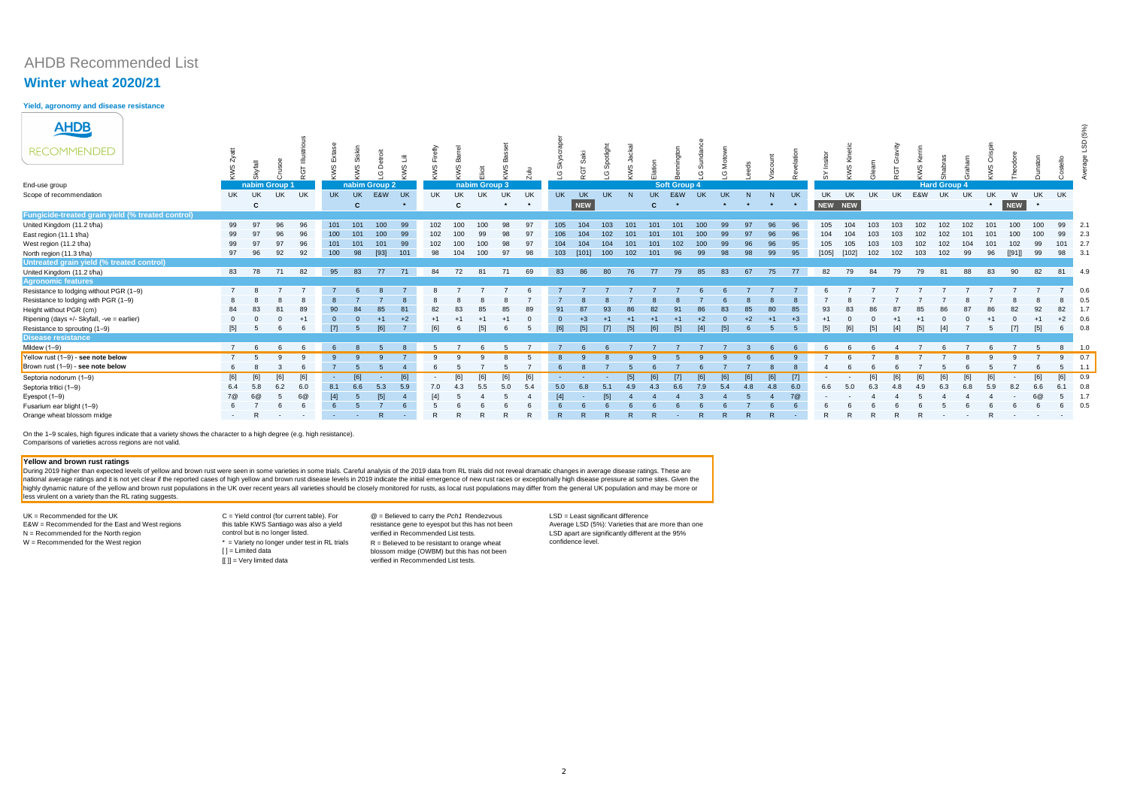# AHDB Recommended List

### **Winter wheat 2020/21**

**Yield, agronomy and disease resistance**

On the 1–9 scales, high figures indicate that a variety shows the character to a high degree (e.g. high resistance). Comparisons of varieties across regions are not valid.

UK = Recommended for the UK difference C = Yield control (for current table). For a carry the *Pch1* Rendezvous LSD = Least significant difference E&W = Recommended for the East and West regions N = Recommended for the North region

| <b>AHDB</b>                                       |                |               |     |           |                |     |               |           |     |           |                 |         |     |           |           |           |       |              |                     |                  |           |         |         |           |         |           |           |           |        |                     |     |         |        |                 |          | (5%) |
|---------------------------------------------------|----------------|---------------|-----|-----------|----------------|-----|---------------|-----------|-----|-----------|-----------------|---------|-----|-----------|-----------|-----------|-------|--------------|---------------------|------------------|-----------|---------|---------|-----------|---------|-----------|-----------|-----------|--------|---------------------|-----|---------|--------|-----------------|----------|------|
| <b>RECOMMENDED</b>                                |                |               |     | ČΠ        | $rac{1}{2}$    | ဖ   | ≏<br>(5)      | $\omega$  | KWS |           |                 |         |     | (2)       | င္င       | ഗ<br>ෆ    |       |              |                     |                  |           |         |         |           |         |           |           |           |        |                     |     |         |        |                 |          | တု   |
| End-use group                                     |                | nabim Group 1 |     | $\sim$    |                |     | nabim Group 2 |           |     |           | nabim Group 3   |         |     |           |           |           |       |              | <b>Soft Group 4</b> |                  |           |         |         |           |         |           |           |           |        | <b>Hard Group 4</b> |     |         |        |                 |          |      |
| Scope of recommendation                           | UK.            | <b>UK</b>     | UK  | UK        | <b>UK</b>      | UK  | E&W           | <b>UK</b> | UK  | <b>UK</b> | UK              | UK      | UK  | <b>UK</b> | <b>UK</b> | <b>UK</b> |       |              | UK E&W              | <b>UK</b>        | <b>UK</b> | N       | N       | <b>UK</b> | UK      | <b>UK</b> | <b>UK</b> | <b>UK</b> | E&W UK |                     | UK  | UK      | W      | UK              | UK       |      |
|                                                   |                | C             |     |           |                | C   |               | $\star$   |     | C         |                 | $\star$ |     |           | NEW       |           |       | $\mathbf{C}$ |                     |                  | $\star$   | $\star$ | $\star$ | $\star$   | NEW NEW |           |           |           |        |                     |     | $\star$ | NEW    | $\star$         |          |      |
| Fungicide-treated grain yield (% treated control) |                |               |     |           |                |     |               |           |     |           |                 |         |     |           |           |           |       |              |                     |                  |           |         |         |           |         |           |           |           |        |                     |     |         |        |                 |          |      |
| United Kingdom (11.2 t/ha)                        | 99             | 97            | 96  | <b>QF</b> | 101            | 101 | 100           | 99        | 102 | 100       | 100             |         |     | 105       | 104       | 103       | 101   | 101          | 101                 | 100              | 99        |         |         |           | 105     | 104       | 103       | 103       | 102    |                     | 102 | 101     | 100    | 100             | 99       | 2.1  |
| East region (11.1 t/ha)                           | 99             |               |     |           | 100            | 101 | 100           | 99        | 102 | 100       | 99              |         |     |           | 104       | 102       | 101   | 101          | 101                 | 100 <sub>1</sub> | 99        |         |         |           | 104     | 104       | 103       | 103       | 102    |                     | 101 | 101     | 100    | 100             | 99       | 2.3  |
| West region (11.2 t/ha)                           | 99             |               |     |           | 101            | 101 | 101           | 99        | 102 | 100       | 100             | 98      |     |           | 104       | 104       | 101   | 101          | 102                 | 100              | 99        |         |         |           | 105     | 105       | 103       | 103       | 102    |                     | 104 |         | 102    | 99              | 101 2.7  |      |
| North region (11.3 t/ha)                          | 97             | 96            | 92  | 92        | 100            | 98  | $[93]$        | 101       | 98  | 104       | 100             | 97      | 98  | 103       | [101]     | 100       | 102   | 101          | 96                  | 99               | 98        | 98      | 99      |           | $[105]$ | $[102]$   | 102       | 102       | 103    | 102                 | 99  | 96      | [[91]] | 99              | 98       | 3.1  |
| Untreated grain yield (% treated control)         |                |               |     |           |                |     |               |           |     |           |                 |         |     |           |           |           |       |              |                     |                  |           |         |         |           |         |           |           |           |        |                     |     |         |        |                 |          |      |
| United Kingdom (11.2 t/ha)                        |                | 83 78         | 71  | 82        | 95             | 83  | 77            | 71        | 84  | 72        | 81              | 71      | 69  | 83        | 86        | 80        | 76    | 77           | 79                  | 85               | 83        | 67      | 75      | 77        | 82      | 79        | 84        | 79        | 79     | 81                  | 88  | 83      | 90     | 82              | 81 4.9   |      |
| <b>Agronomic features</b>                         |                |               |     |           |                |     |               |           |     |           |                 |         |     |           |           |           |       |              |                     |                  |           |         |         |           |         |           |           |           |        |                     |     |         |        |                 |          |      |
| Resistance to lodging without PGR (1-9)           |                |               |     |           |                |     |               |           |     |           |                 |         |     |           |           |           |       |              |                     |                  |           |         |         |           |         |           |           |           |        |                     |     |         |        |                 |          | 0.6  |
| Resistance to lodging with PGR (1-9)              |                |               |     |           |                |     |               |           |     |           |                 |         |     |           |           |           |       |              |                     |                  |           |         |         |           |         |           |           |           |        |                     |     |         |        |                 |          | 0.5  |
| Height without PGR (cm)                           | 84             |               |     | 89        |                |     | 85            | 81        | 82  |           | 85              |         |     |           |           |           |       | 82           |                     |                  | 83        | 85      | 80      |           | 93      | 83        |           |           |        |                     |     |         |        | 92              | 82       | 1.7  |
| Ripening (days +/- Skyfall, -ve = earlier)        |                |               |     |           |                |     |               | $+2$      |     |           |                 |         |     |           |           |           |       |              |                     |                  |           |         |         |           |         |           |           |           |        |                     |     |         |        |                 | $+2$ 0.6 |      |
| Resistance to sprouting (1-9)                     | $[5]$          |               |     |           |                |     | [6]           |           | [6] |           | [5]             |         |     |           | [5]       | $[7]$     | $[5]$ | [6]          | $[5]$               |                  | $[5]$     |         |         |           | $[5]$   | [6]       | [5]       |           | [5]    |                     |     |         |        | $[5]$           | 6        | 0.8  |
| <b>Disease resistance</b>                         |                |               |     |           |                |     |               |           |     |           |                 |         |     |           |           |           |       |              |                     |                  |           |         |         |           |         |           |           |           |        |                     |     |         |        |                 |          |      |
| Mildew (1-9)                                      | $\overline{7}$ |               |     |           |                |     |               |           |     |           |                 |         |     |           |           |           |       |              |                     |                  |           |         |         |           |         |           |           |           |        |                     |     |         |        |                 |          | 1.0  |
| Yellow rust (1-9) - see note below                | $\overline{7}$ |               |     |           |                |     |               |           |     |           |                 |         |     |           |           |           |       |              |                     |                  |           |         |         |           |         |           |           |           |        |                     |     |         |        |                 | $\alpha$ | 0.7  |
| Brown rust (1-9) - see note below                 |                |               |     |           |                |     |               |           |     |           |                 |         |     |           |           |           |       |              |                     |                  |           |         |         |           |         |           |           |           |        |                     |     |         |        |                 |          | 1.1  |
| Septoria nodorum (1-9)                            | [6]            | [6]           | [6] | [6]       | $\sim$         | [6] |               | [6]       |     | [6]       | F <sub>61</sub> |         | [6] |           |           |           | [5]   | [6]          |                     |                  |           |         |         |           | $\sim$  |           | [6]       | [6]       | [6]    |                     |     |         |        | [6]             | [6]      | 0.9  |
| Septoria tritici (1-9)                            | 6.4            |               | 6.2 | 6.0       | 8.1            |     | 5.3           | 5.9       |     |           |                 |         |     | 5.0       | 6.8       | 5.1       |       |              |                     |                  |           | 4.8     |         | 60        | 6.6     | 5.0       |           |           |        |                     |     |         |        |                 |          | 0.8  |
| Eyespot $(1-9)$                                   | 7@             |               |     | 6C        |                |     | [5]           |           |     |           |                 |         |     |           |           |           |       |              |                     |                  |           |         |         |           |         |           |           |           |        |                     |     |         |        |                 |          | 1.7  |
| Fusarium ear blight (1-9)                         |                |               |     |           |                |     |               |           |     |           |                 |         |     |           |           |           |       |              |                     |                  |           |         |         |           |         |           |           |           |        |                     |     |         |        |                 |          | 0.5  |
| Orange wheat blossom midge                        | $\sim$         |               |     |           | <b>Section</b> |     | R             | $\sim$    |     |           |                 |         |     | R         |           |           |       |              |                     |                  |           |         |         |           |         |           |           |           |        |                     |     |         | $\sim$ | $\sim 10^{-11}$ |          |      |

 $W =$  Recommended for the West region  $W =$  Yariety no longer under test in RL trials  $[ ] =$  Limited data [[ ]] = Very limited data C = Yield control (for current table). For this table KWS Santiago was also a yield control but is no longer listed.

#### **Yellow and brown rust ratings**

During 2019 higher than expected levels of yellow and brown rust were seen in some varieties in some trials. Careful analysis of the 2019 data from RL trials did not reveal dramatic changes in average disease ratings. Thes national average ratings and it is not yet clear if the reported cases of high yellow and brown rust disease levels in 2019 indicate the initial emergence of new rust races or exceptionally high disease pressure at some si highly dynamic nature of the yellow and brown rust populations in the UK over recent years all varieties should be closely monitored for rusts, as local rust populations may differ from the general UK population and may be less virulent on a variety than the RL rating suggests.

> resistance gene to eyespot but this has not been verified in Recommended List tests.

R = Believed to be resistant to orange wheat blossom midge (OWBM) but this has not been verified in Recommended List tests.

Average LSD (5%): Varieties that are more than one LSD apart are significantly different at the 95% confidence level.